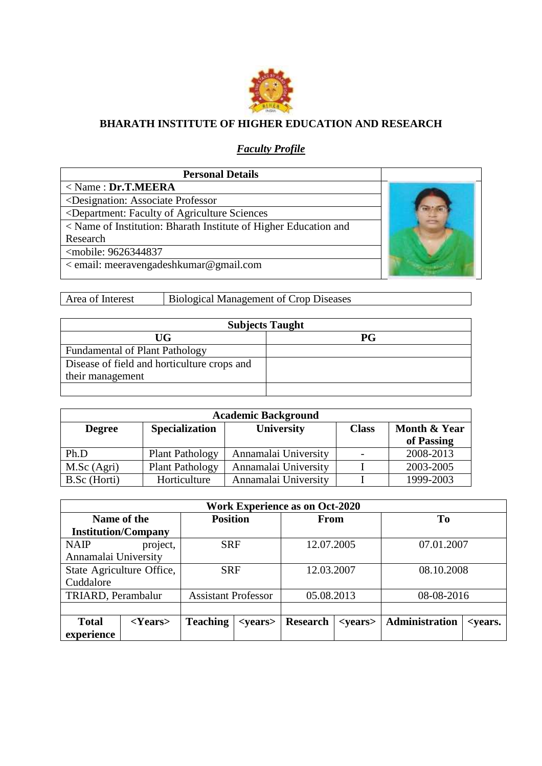

## **BHARATH INSTITUTE OF HIGHER EDUCATION AND RESEARCH**

## *Faculty Profile*

| <b>Personal Details</b>                                                                 |  |
|-----------------------------------------------------------------------------------------|--|
| $\langle$ Name: Dr.T.MEERA                                                              |  |
| <designation: associate="" professor<="" td=""><td></td></designation:>                 |  |
| <department: agriculture="" faculty="" of="" sciences<="" td=""><td></td></department:> |  |
| < Name of Institution: Bharath Institute of Higher Education and                        |  |
| Research                                                                                |  |
| <mobile: 9626344837<="" td=""><td></td></mobile:>                                       |  |
| < email: meeravengadeshkumar@gmail.com                                                  |  |
|                                                                                         |  |

Area of Interest Biological Management of Crop Diseases

|                                             | <b>Subjects Taught</b> |
|---------------------------------------------|------------------------|
| UG                                          | <b>PG</b>              |
| <b>Fundamental of Plant Pathology</b>       |                        |
| Disease of field and horticulture crops and |                        |
| their management                            |                        |
|                                             |                        |

|               | <b>Academic Background</b> |                      |              |              |  |
|---------------|----------------------------|----------------------|--------------|--------------|--|
| <b>Degree</b> | <b>Specialization</b>      | University           | <b>Class</b> | Month & Year |  |
|               |                            |                      |              | of Passing   |  |
| Ph.D          | <b>Plant Pathology</b>     | Annamalai University |              | 2008-2013    |  |
| M.Sc (Agri)   | <b>Plant Pathology</b>     | Annamalai University |              | 2003-2005    |  |
| B.Sc (Horti)  | Horticulture               | Annamalai University |              | 1999-2003    |  |

|                      | <b>Work Experience as on Oct-2020</b> |                 |                            |                 |                 |                |                                               |
|----------------------|---------------------------------------|-----------------|----------------------------|-----------------|-----------------|----------------|-----------------------------------------------|
|                      | Name of the                           | <b>Position</b> |                            | From            |                 | T <sub>0</sub> |                                               |
|                      | <b>Institution/Company</b>            |                 |                            |                 |                 |                |                                               |
| <b>NAIP</b>          | project,                              | <b>SRF</b>      |                            | 12.07.2005      |                 | 07.01.2007     |                                               |
| Annamalai University |                                       |                 |                            |                 |                 |                |                                               |
|                      | State Agriculture Office,             | <b>SRF</b>      |                            | 12.03.2007      |                 | 08.10.2008     |                                               |
| Cuddalore            |                                       |                 |                            |                 |                 |                |                                               |
|                      | TRIARD, Perambalur                    |                 | <b>Assistant Professor</b> |                 | 05.08.2013      | 08-08-2016     |                                               |
|                      |                                       |                 |                            |                 |                 |                |                                               |
| <b>Total</b>         | $<$ Years $>$                         | <b>Teaching</b> | $<$ years $>$              | <b>Research</b> | <years></years> | Administration | <i><u><b><years.< b=""></years.<></b></u></i> |
| experience           |                                       |                 |                            |                 |                 |                |                                               |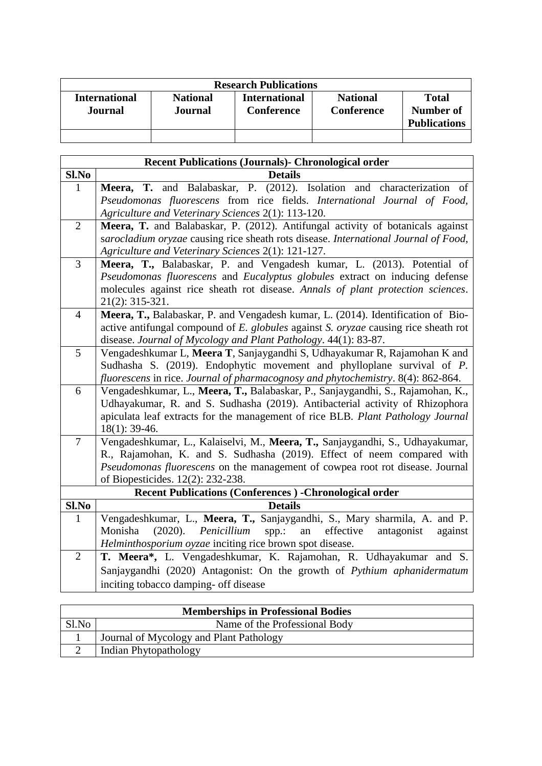|                                 |                                   | <b>Research Publications</b>              |                                      |                                           |
|---------------------------------|-----------------------------------|-------------------------------------------|--------------------------------------|-------------------------------------------|
| <b>International</b><br>Journal | <b>National</b><br><b>Journal</b> | <b>International</b><br><b>Conference</b> | <b>National</b><br><b>Conference</b> | Total<br>Number of<br><b>Publications</b> |
|                                 |                                   |                                           |                                      |                                           |

|                | <b>Recent Publications (Journals)- Chronological order</b>                                                                                   |
|----------------|----------------------------------------------------------------------------------------------------------------------------------------------|
| $Sl$ . No      | <b>Details</b>                                                                                                                               |
| $\mathbf{1}$   | Meera, T. and Balabaskar, P. (2012). Isolation and characterization of                                                                       |
|                | Pseudomonas fluorescens from rice fields. International Journal of Food,                                                                     |
|                | Agriculture and Veterinary Sciences 2(1): 113-120.                                                                                           |
| $\overline{2}$ | Meera, T. and Balabaskar, P. (2012). Antifungal activity of botanicals against                                                               |
|                | sarocladium oryzae causing rice sheath rots disease. International Journal of Food,                                                          |
|                | Agriculture and Veterinary Sciences 2(1): 121-127.                                                                                           |
| $\overline{3}$ | Meera, T., Balabaskar, P. and Vengadesh kumar, L. (2013). Potential of                                                                       |
|                | Pseudomonas fluorescens and Eucalyptus globules extract on inducing defense                                                                  |
|                | molecules against rice sheath rot disease. Annals of plant protection sciences.                                                              |
|                | 21(2): 315-321.                                                                                                                              |
| $\overline{4}$ | Meera, T., Balabaskar, P. and Vengadesh kumar, L. (2014). Identification of Bio-                                                             |
|                | active antifungal compound of E. globules against S. oryzae causing rice sheath rot                                                          |
| 5              | disease. Journal of Mycology and Plant Pathology. 44(1): 83-87.<br>Vengadeshkumar L, Meera T, Sanjaygandhi S, Udhayakumar R, Rajamohan K and |
|                | Sudhasha S. (2019). Endophytic movement and phylloplane survival of P.                                                                       |
|                | fluorescens in rice. Journal of pharmacognosy and phytochemistry. 8(4): 862-864.                                                             |
| 6              | Vengadeshkumar, L., Meera, T., Balabaskar, P., Sanjaygandhi, S., Rajamohan, K.,                                                              |
|                | Udhayakumar, R. and S. Sudhasha (2019). Antibacterial activity of Rhizophora                                                                 |
|                | apiculata leaf extracts for the management of rice BLB. Plant Pathology Journal                                                              |
|                | 18(1): 39-46.                                                                                                                                |
| $\overline{7}$ | Vengadeshkumar, L., Kalaiselvi, M., Meera, T., Sanjaygandhi, S., Udhayakumar,                                                                |
|                | R., Rajamohan, K. and S. Sudhasha (2019). Effect of neem compared with                                                                       |
|                | Pseudomonas fluorescens on the management of cowpea root rot disease. Journal                                                                |
|                | of Biopesticides. 12(2): 232-238.                                                                                                            |
|                | <b>Recent Publications (Conferences) -Chronological order</b>                                                                                |
| Sl.No          | <b>Details</b>                                                                                                                               |
| $\mathbf{1}$   | Vengadeshkumar, L., Meera, T., Sanjaygandhi, S., Mary sharmila, A. and P.                                                                    |
|                | Monisha<br>(2020).<br>Penicillium<br>effective<br>spp.:<br>antagonist<br>an<br>against                                                       |
|                | Helminthosporium oyzae inciting rice brown spot disease.                                                                                     |
| $\overline{2}$ | T. Meera*, L. Vengadeshkumar, K. Rajamohan, R. Udhayakumar and S.                                                                            |
|                | Sanjaygandhi (2020) Antagonist: On the growth of Pythium aphanidermatum                                                                      |
|                | inciting tobacco damping- off disease                                                                                                        |

| <b>Memberships in Professional Bodies</b> |                                         |  |  |  |
|-------------------------------------------|-----------------------------------------|--|--|--|
| Sl.No                                     | Name of the Professional Body           |  |  |  |
|                                           | Journal of Mycology and Plant Pathology |  |  |  |
|                                           | Indian Phytopathology                   |  |  |  |